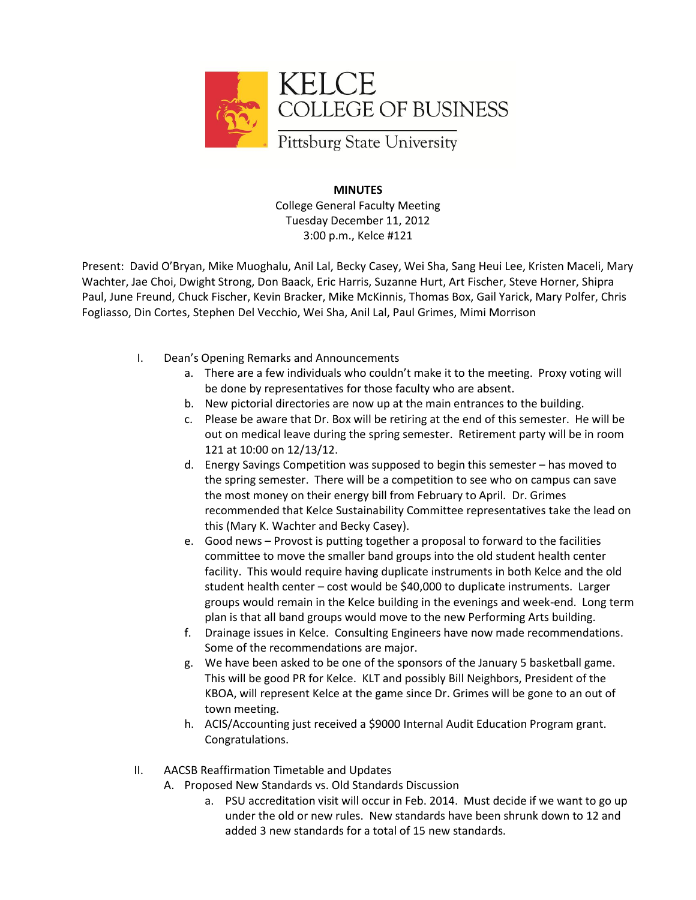

## **MINUTES**

College General Faculty Meeting Tuesday December 11, 2012 3:00 p.m., Kelce #121

Present: David O'Bryan, Mike Muoghalu, Anil Lal, Becky Casey, Wei Sha, Sang Heui Lee, Kristen Maceli, Mary Wachter, Jae Choi, Dwight Strong, Don Baack, Eric Harris, Suzanne Hurt, Art Fischer, Steve Horner, Shipra Paul, June Freund, Chuck Fischer, Kevin Bracker, Mike McKinnis, Thomas Box, Gail Yarick, Mary Polfer, Chris Fogliasso, Din Cortes, Stephen Del Vecchio, Wei Sha, Anil Lal, Paul Grimes, Mimi Morrison

- I. Dean's Opening Remarks and Announcements
	- a. There are a few individuals who couldn't make it to the meeting. Proxy voting will be done by representatives for those faculty who are absent.
	- b. New pictorial directories are now up at the main entrances to the building.
	- c. Please be aware that Dr. Box will be retiring at the end of this semester. He will be out on medical leave during the spring semester. Retirement party will be in room 121 at 10:00 on 12/13/12.
	- d. Energy Savings Competition was supposed to begin this semester has moved to the spring semester. There will be a competition to see who on campus can save the most money on their energy bill from February to April. Dr. Grimes recommended that Kelce Sustainability Committee representatives take the lead on this (Mary K. Wachter and Becky Casey).
	- e. Good news Provost is putting together a proposal to forward to the facilities committee to move the smaller band groups into the old student health center facility. This would require having duplicate instruments in both Kelce and the old student health center – cost would be \$40,000 to duplicate instruments. Larger groups would remain in the Kelce building in the evenings and week-end. Long term plan is that all band groups would move to the new Performing Arts building.
	- f. Drainage issues in Kelce. Consulting Engineers have now made recommendations. Some of the recommendations are major.
	- g. We have been asked to be one of the sponsors of the January 5 basketball game. This will be good PR for Kelce. KLT and possibly Bill Neighbors, President of the KBOA, will represent Kelce at the game since Dr. Grimes will be gone to an out of town meeting.
	- h. ACIS/Accounting just received a \$9000 Internal Audit Education Program grant. Congratulations.
- II. AACSB Reaffirmation Timetable and Updates
	- A. Proposed New Standards vs. Old Standards Discussion
		- a. PSU accreditation visit will occur in Feb. 2014. Must decide if we want to go up under the old or new rules. New standards have been shrunk down to 12 and added 3 new standards for a total of 15 new standards.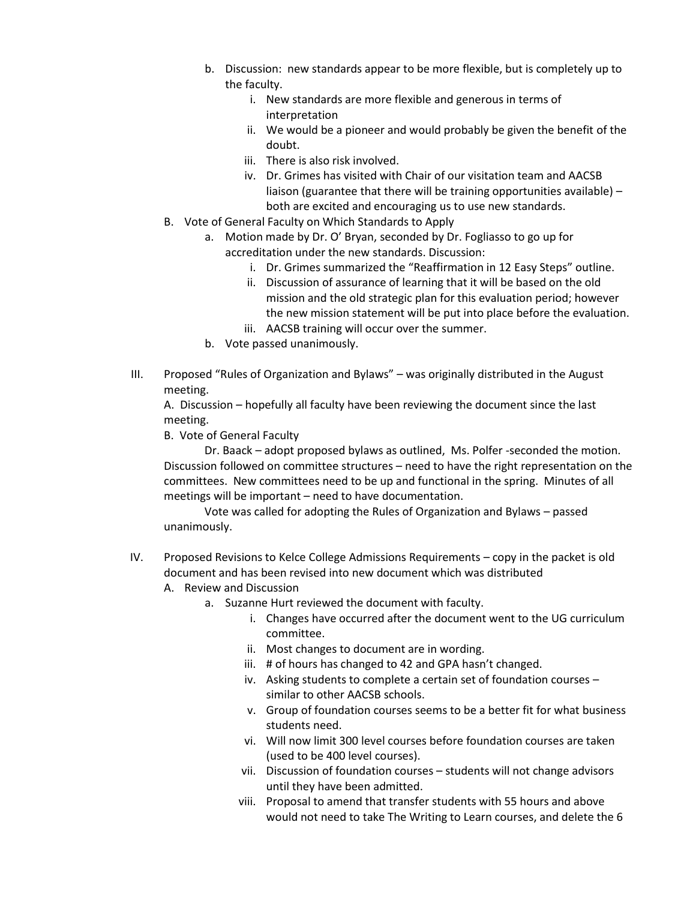- b. Discussion: new standards appear to be more flexible, but is completely up to the faculty.
	- i. New standards are more flexible and generous in terms of interpretation
	- ii. We would be a pioneer and would probably be given the benefit of the doubt.
	- iii. There is also risk involved.
	- iv. Dr. Grimes has visited with Chair of our visitation team and AACSB liaison (guarantee that there will be training opportunities available) – both are excited and encouraging us to use new standards.
- B. Vote of General Faculty on Which Standards to Apply
	- a. Motion made by Dr. O' Bryan, seconded by Dr. Fogliasso to go up for accreditation under the new standards. Discussion:
		- i. Dr. Grimes summarized the "Reaffirmation in 12 Easy Steps" outline.
		- ii. Discussion of assurance of learning that it will be based on the old mission and the old strategic plan for this evaluation period; however the new mission statement will be put into place before the evaluation.
		- iii. AACSB training will occur over the summer.
		- b. Vote passed unanimously.
- III. Proposed "Rules of Organization and Bylaws" was originally distributed in the August meeting.

A. Discussion – hopefully all faculty have been reviewing the document since the last meeting.

B. Vote of General Faculty

Dr. Baack – adopt proposed bylaws as outlined, Ms. Polfer -seconded the motion. Discussion followed on committee structures – need to have the right representation on the committees. New committees need to be up and functional in the spring. Minutes of all meetings will be important – need to have documentation.

Vote was called for adopting the Rules of Organization and Bylaws – passed unanimously.

- IV. Proposed Revisions to Kelce College Admissions Requirements copy in the packet is old document and has been revised into new document which was distributed
	- A. Review and Discussion
		- a. Suzanne Hurt reviewed the document with faculty.
			- i. Changes have occurred after the document went to the UG curriculum committee.
			- ii. Most changes to document are in wording.
			- iii. # of hours has changed to 42 and GPA hasn't changed.
			- iv. Asking students to complete a certain set of foundation courses similar to other AACSB schools.
			- v. Group of foundation courses seems to be a better fit for what business students need.
			- vi. Will now limit 300 level courses before foundation courses are taken (used to be 400 level courses).
			- vii. Discussion of foundation courses students will not change advisors until they have been admitted.
			- viii. Proposal to amend that transfer students with 55 hours and above would not need to take The Writing to Learn courses, and delete the 6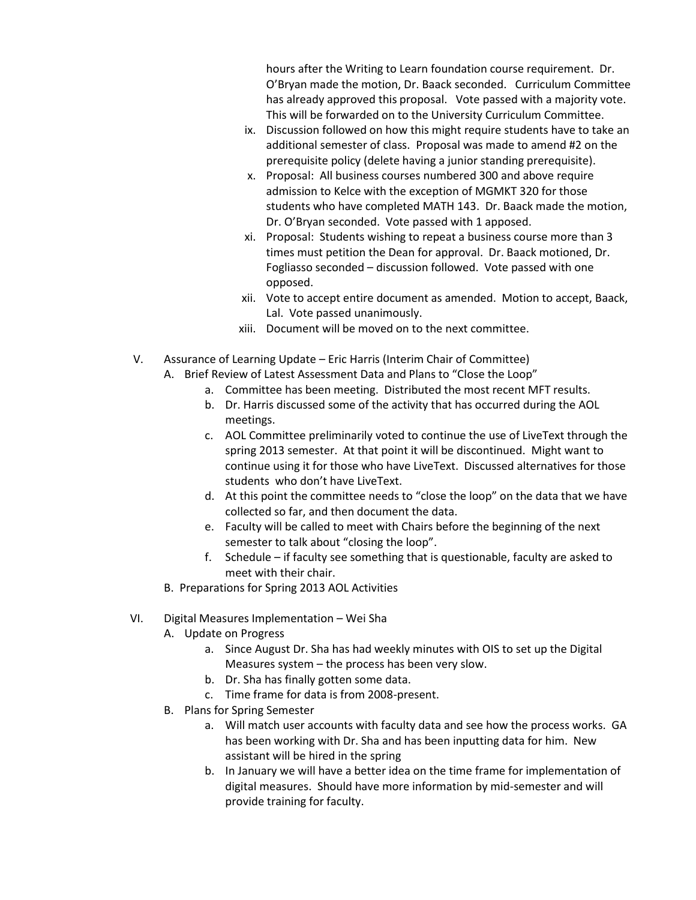hours after the Writing to Learn foundation course requirement. Dr. O'Bryan made the motion, Dr. Baack seconded. Curriculum Committee has already approved this proposal. Vote passed with a majority vote. This will be forwarded on to the University Curriculum Committee.

- ix. Discussion followed on how this might require students have to take an additional semester of class. Proposal was made to amend #2 on the prerequisite policy (delete having a junior standing prerequisite).
- x. Proposal: All business courses numbered 300 and above require admission to Kelce with the exception of MGMKT 320 for those students who have completed MATH 143. Dr. Baack made the motion, Dr. O'Bryan seconded. Vote passed with 1 apposed.
- xi. Proposal: Students wishing to repeat a business course more than 3 times must petition the Dean for approval. Dr. Baack motioned, Dr. Fogliasso seconded – discussion followed. Vote passed with one opposed.
- xii. Vote to accept entire document as amended. Motion to accept, Baack, Lal. Vote passed unanimously.
- xiii. Document will be moved on to the next committee.
- V. Assurance of Learning Update Eric Harris (Interim Chair of Committee)
	- A. Brief Review of Latest Assessment Data and Plans to "Close the Loop"
		- a. Committee has been meeting. Distributed the most recent MFT results.
		- b. Dr. Harris discussed some of the activity that has occurred during the AOL meetings.
		- c. AOL Committee preliminarily voted to continue the use of LiveText through the spring 2013 semester. At that point it will be discontinued. Might want to continue using it for those who have LiveText. Discussed alternatives for those students who don't have LiveText.
		- d. At this point the committee needs to "close the loop" on the data that we have collected so far, and then document the data.
		- e. Faculty will be called to meet with Chairs before the beginning of the next semester to talk about "closing the loop".
		- f. Schedule if faculty see something that is questionable, faculty are asked to meet with their chair.
	- B. Preparations for Spring 2013 AOL Activities
- VI. Digital Measures Implementation Wei Sha
	- A. Update on Progress
		- a. Since August Dr. Sha has had weekly minutes with OIS to set up the Digital Measures system – the process has been very slow.
		- b. Dr. Sha has finally gotten some data.
		- c. Time frame for data is from 2008-present.
	- B. Plans for Spring Semester
		- a. Will match user accounts with faculty data and see how the process works. GA has been working with Dr. Sha and has been inputting data for him. New assistant will be hired in the spring
		- b. In January we will have a better idea on the time frame for implementation of digital measures. Should have more information by mid-semester and will provide training for faculty.